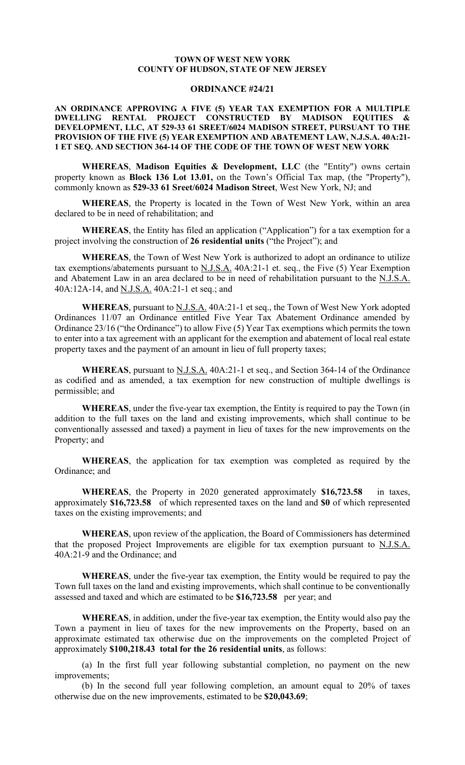## **TOWN OF WEST NEW YORK COUNTY OF HUDSON, STATE OF NEW JERSEY**

## **ORDINANCE #24/21**

**AN ORDINANCE APPROVING A FIVE (5) YEAR TAX EXEMPTION FOR A MULTIPLE DWELLING RENTAL PROJECT CONSTRUCTED BY MADISON EQUITIES & DEVELOPMENT, LLC, AT 529-33 61 SREET/6024 MADISON STREET, PURSUANT TO THE PROVISION OF THE FIVE (5) YEAR EXEMPTION AND ABATEMENT LAW, N.J.S.A. 40A:21- 1 ET SEQ. AND SECTION 364-14 OF THE CODE OF THE TOWN OF WEST NEW YORK**

**WHEREAS**, **Madison Equities & Development, LLC** (the "Entity") owns certain property known as **Block 136 Lot 13.01,** on the Town's Official Tax map, (the "Property"), commonly known as **529-33 61 Sreet/6024 Madison Street**, West New York, NJ; and

**WHEREAS**, the Property is located in the Town of West New York, within an area declared to be in need of rehabilitation; and

**WHEREAS**, the Entity has filed an application ("Application") for a tax exemption for a project involving the construction of **26 residential units** ("the Project"); and

**WHEREAS**, the Town of West New York is authorized to adopt an ordinance to utilize tax exemptions/abatements pursuant to  $N.J.S.A.$  40A:21-1 et. seq., the Five (5) Year Exemption and Abatement Law in an area declared to be in need of rehabilitation pursuant to the N.J.S.A. 40A:12A-14, and N.J.S.A. 40A:21-1 et seq.; and

WHEREAS, pursuant to **N.J.S.A.** 40A:21-1 et seq., the Town of West New York adopted Ordinances 11/07 an Ordinance entitled Five Year Tax Abatement Ordinance amended by Ordinance 23/16 ("the Ordinance") to allow Five (5) Year Tax exemptions which permits the town to enter into a tax agreement with an applicant for the exemption and abatement of local real estate property taxes and the payment of an amount in lieu of full property taxes;

**WHEREAS**, pursuant to N.J.S.A. 40A:21-1 et seq., and Section 364-14 of the Ordinance as codified and as amended, a tax exemption for new construction of multiple dwellings is permissible; and

**WHEREAS**, under the five-year tax exemption, the Entity is required to pay the Town (in addition to the full taxes on the land and existing improvements, which shall continue to be conventionally assessed and taxed) a payment in lieu of taxes for the new improvements on the Property; and

**WHEREAS**, the application for tax exemption was completed as required by the Ordinance; and

**WHEREAS**, the Property in 2020 generated approximately **\$16,723.58** in taxes, approximately **\$16,723.58** of which represented taxes on the land and **\$0** of which represented taxes on the existing improvements; and

**WHEREAS**, upon review of the application, the Board of Commissioners has determined that the proposed Project Improvements are eligible for tax exemption pursuant to N.J.S.A. 40A:21-9 and the Ordinance; and

**WHEREAS**, under the five-year tax exemption, the Entity would be required to pay the Town full taxes on the land and existing improvements, which shall continue to be conventionally assessed and taxed and which are estimated to be **\$16,723.58** per year; and

**WHEREAS**, in addition, under the five-year tax exemption, the Entity would also pay the Town a payment in lieu of taxes for the new improvements on the Property, based on an approximate estimated tax otherwise due on the improvements on the completed Project of approximately **\$100,218.43 total for the 26 residential units**, as follows:

(a) In the first full year following substantial completion, no payment on the new improvements;

(b) In the second full year following completion, an amount equal to 20% of taxes otherwise due on the new improvements, estimated to be **\$20,043.69**;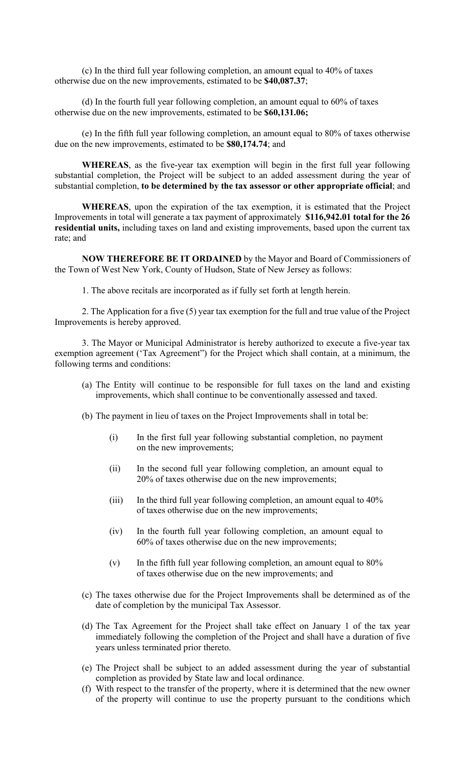(c) In the third full year following completion, an amount equal to 40% of taxes otherwise due on the new improvements, estimated to be **\$40,087.37**;

(d) In the fourth full year following completion, an amount equal to 60% of taxes otherwise due on the new improvements, estimated to be **\$60,131.06;** 

(e) In the fifth full year following completion, an amount equal to 80% of taxes otherwise due on the new improvements, estimated to be **\$80,174.74**; and

**WHEREAS**, as the five-year tax exemption will begin in the first full year following substantial completion, the Project will be subject to an added assessment during the year of substantial completion, **to be determined by the tax assessor or other appropriate official**; and

**WHEREAS**, upon the expiration of the tax exemption, it is estimated that the Project Improvements in total will generate a tax payment of approximately **\$116,942.01 total for the 26 residential units,** including taxes on land and existing improvements, based upon the current tax rate; and

**NOW THEREFORE BE IT ORDAINED** by the Mayor and Board of Commissioners of the Town of West New York, County of Hudson, State of New Jersey as follows:

1. The above recitals are incorporated as if fully set forth at length herein.

2. The Application for a five (5) year tax exemption for the full and true value of the Project Improvements is hereby approved.

3. The Mayor or Municipal Administrator is hereby authorized to execute a five-year tax exemption agreement ('Tax Agreement") for the Project which shall contain, at a minimum, the following terms and conditions:

- (a) The Entity will continue to be responsible for full taxes on the land and existing improvements, which shall continue to be conventionally assessed and taxed.
- (b) The payment in lieu of taxes on the Project Improvements shall in total be:
	- (i) In the first full year following substantial completion, no payment on the new improvements;
	- (ii) In the second full year following completion, an amount equal to 20% of taxes otherwise due on the new improvements;
	- (iii) In the third full year following completion, an amount equal to 40% of taxes otherwise due on the new improvements;
	- (iv) In the fourth full year following completion, an amount equal to 60% of taxes otherwise due on the new improvements;
	- $(v)$  In the fifth full year following completion, an amount equal to 80% of taxes otherwise due on the new improvements; and
- (c) The taxes otherwise due for the Project Improvements shall be determined as of the date of completion by the municipal Tax Assessor.
- (d) The Tax Agreement for the Project shall take effect on January 1 of the tax year immediately following the completion of the Project and shall have a duration of five years unless terminated prior thereto.
- (e) The Project shall be subject to an added assessment during the year of substantial completion as provided by State law and local ordinance.
- (f) With respect to the transfer of the property, where it is determined that the new owner of the property will continue to use the property pursuant to the conditions which